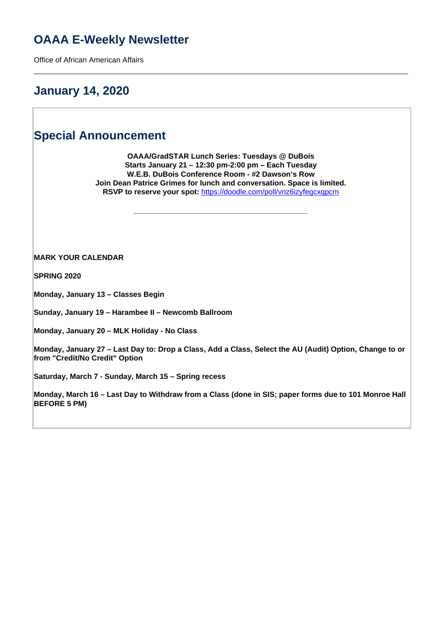# **OAAA E-Weekly Newsletter**

Office of African American Affairs

### **January 14, 2020**

### **Special Announcement**

**OAAA/GradSTAR Lunch Series: Tuesdays @ DuBois Starts January 21 – 12:30 pm-2:00 pm – Each Tuesday W.E.B. DuBois Conference Room - #2 Dawson's Row Join Dean Patrice Grimes for lunch and conversation. Space is limited. RSVP to reserve your spot:** <https://doodle.com/poll/vnz6izyfegcxqpcm>

**\_\_\_\_\_\_\_\_\_\_\_\_\_\_\_\_\_\_\_\_\_\_\_\_\_\_\_\_\_\_\_\_\_\_\_\_\_\_\_\_\_\_**

**MARK YOUR CALENDAR**

**SPRING 2020**

**Monday, January 13 – Classes Begin**

**Sunday, January 19 – Harambee II – Newcomb Ballroom**

**Monday, January 20 – MLK Holiday - No Class**

**Monday, January 27 – Last Day to: Drop a Class, Add a Class, Select the AU (Audit) Option, Change to or from "Credit/No Credit" Option**

**Saturday, March 7 - Sunday, March 15 – Spring recess**

**Monday, March 16 – Last Day to Withdraw from a Class (done in SIS; paper forms due to 101 Monroe Hall BEFORE 5 PM)**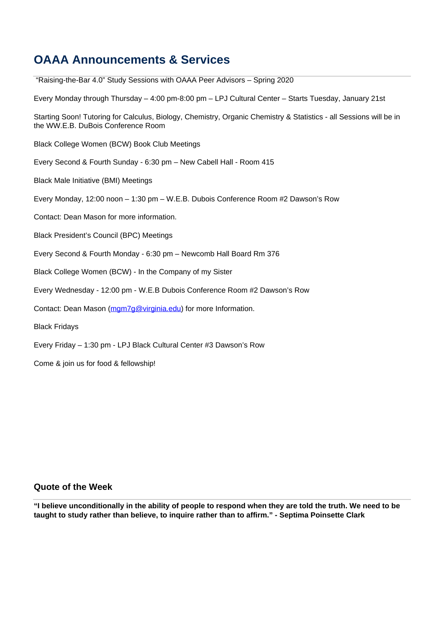## **OAAA Announcements & Services**

 "Raising-the-Bar 4.0" Study Sessions with OAAA Peer Advisors – Spring 2020 Every Monday through Thursday – 4:00 pm-8:00 pm – LPJ Cultural Center – Starts Tuesday, January 21st Starting Soon! Tutoring for Calculus, Biology, Chemistry, Organic Chemistry & Statistics - all Sessions will be in the WW.E.B. DuBois Conference Room Black College Women (BCW) Book Club Meetings Every Second & Fourth Sunday - 6:30 pm – New Cabell Hall - Room 415 Black Male Initiative (BMI) Meetings Every Monday, 12:00 noon – 1:30 pm – W.E.B. Dubois Conference Room #2 Dawson's Row Contact: Dean Mason for more information. Black President's Council (BPC) Meetings Every Second & Fourth Monday - 6:30 pm – Newcomb Hall Board Rm 376 Black College Women (BCW) - In the Company of my Sister Every Wednesday - 12:00 pm - W.E.B Dubois Conference Room #2 Dawson's Row Contact: Dean Mason (mgm7g@virginia.edu) for more Information. Black Fridays Every Friday – 1:30 pm - LPJ Black Cultural Center #3 Dawson's Row Come & join us for food & fellowship!

### **Quote of the Week**

**"I believe unconditionally in the ability of people to respond when they are told the truth. We need to be taught to study rather than believe, to inquire rather than to affirm." - Septima Poinsette Clark**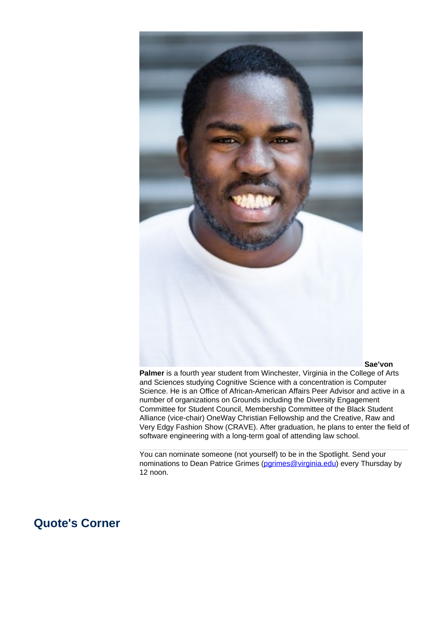

#### **Sae'von**

**Palmer** is a fourth year student from Winchester, Virginia in the College of Arts and Sciences studying Cognitive Science with a concentration is Computer Science. He is an Office of African-American Affairs Peer Advisor and active in a number of organizations on Grounds including the Diversity Engagement Committee for Student Council, Membership Committee of the Black Student Alliance (vice-chair) OneWay Christian Fellowship and the Creative, Raw and Very Edgy Fashion Show (CRAVE). After graduation, he plans to enter the field of software engineering with a long-term goal of attending law school.

You can nominate someone (not yourself) to be in the Spotlight. Send your nominations to Dean Patrice Grimes (parimes@virginia.edu) every Thursday by 12 noon.

### **Quote's Corner**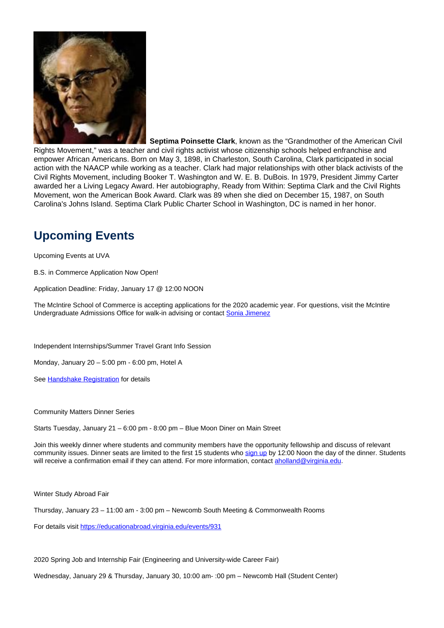

**Septima Poinsette Clark**, known as the "Grandmother of the American Civil Rights Movement," was a teacher and civil rights activist whose citizenship schools helped enfranchise and empower African Americans. Born on May 3, 1898, in Charleston, South Carolina, Clark participated in social action with the NAACP while working as a teacher. Clark had major relationships with other black activists of the Civil Rights Movement, including Booker T. Washington and W. E. B. DuBois. In 1979, President Jimmy Carter awarded her a Living Legacy Award. Her autobiography, Ready from Within: Septima Clark and the Civil Rights Movement, won the American Book Award. Clark was 89 when she died on December 15, 1987, on South Carolina's Johns Island. Septima Clark Public Charter School in Washington, DC is named in her honor.

# **Upcoming Events**

Upcoming Events at UVA

B.S. in Commerce Application Now Open!

Application Deadline: Friday, January 17 @ 12:00 NOON

The McIntire School of Commerce is accepting applications for the 2020 academic year. For questions, visit the McIntire Undergraduate Admissions Office for walk-in advising or contact Sonia Jimenez

Independent Internships/Summer Travel Grant Info Session

Monday, January 20 – 5:00 pm - 6:00 pm, Hotel A

See Handshake Registration for details

Community Matters Dinner Series

Starts Tuesday, January 21 – 6:00 pm - 8:00 pm – Blue Moon Diner on Main Street

Join this weekly dinner where students and community members have the opportunity fellowship and discuss of relevant community issues. Dinner seats are limited to the first 15 students who sign up by 12:00 Noon the day of the dinner. Students will receive a confirmation email if they can attend. For more information, contact aholland@virginia.edu.

Winter Study Abroad Fair

Thursday, January 23 – 11:00 am - 3:00 pm – Newcomb South Meeting & Commonwealth Rooms

For details visit https://educationabroad.virginia.edu/events/931

2020 Spring Job and Internship Fair (Engineering and University-wide Career Fair)

Wednesday, January 29 & Thursday, January 30, 10:00 am- :00 pm – Newcomb Hall (Student Center)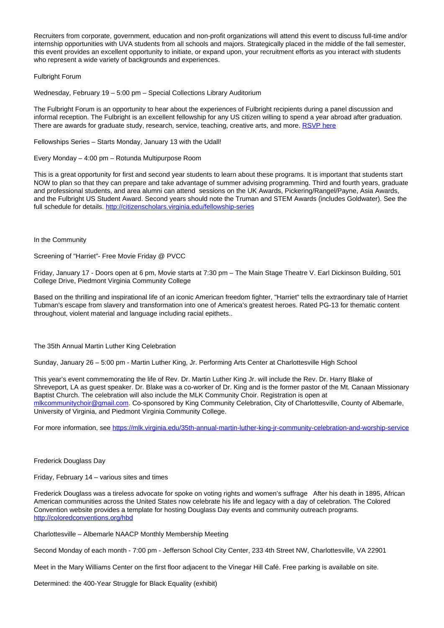Recruiters from corporate, government, education and non-profit organizations will attend this event to discuss full-time and/or internship opportunities with UVA students from all schools and majors. Strategically placed in the middle of the fall semester, this event provides an excellent opportunity to initiate, or expand upon, your recruitment efforts as you interact with students who represent a wide variety of backgrounds and experiences.

Fulbright Forum

Wednesday, February 19 – 5:00 pm – Special Collections Library Auditorium

The Fulbright Forum is an opportunity to hear about the experiences of Fulbright recipients during a panel discussion and informal reception. The Fulbright is an excellent fellowship for any US citizen willing to spend a year abroad after graduation. There are awards for graduate study, research, service, teaching, creative arts, and more. RSVP here

Fellowships Series – Starts Monday, January 13 with the Udall!

Every Monday – 4:00 pm – Rotunda Multipurpose Room

This is a great opportunity for first and second year students to learn about these programs. It is important that students start NOW to plan so that they can prepare and take advantage of summer advising programming. Third and fourth years, graduate and professional students, and area alumni can attend sessions on the UK Awards, Pickering/Rangel/Payne, Asia Awards, and the Fulbright US Student Award. Second years should note the Truman and STEM Awards (includes Goldwater). See the full schedule for details. http://citizenscholars.virginia.edu/fellowship-series

In the Community

Screening of "Harriet"- Free Movie Friday @ PVCC

Friday, January 17 - Doors open at 6 pm, Movie starts at 7:30 pm – The Main Stage Theatre V. Earl Dickinson Building, 501 College Drive, Piedmont Virginia Community College

Based on the thrilling and inspirational life of an iconic American freedom fighter, "Harriet" tells the extraordinary tale of Harriet Tubman's escape from slavery and transformation into one of America's greatest heroes. Rated PG-13 for thematic content throughout, violent material and language including racial epithets..

The 35th Annual Martin Luther King Celebration

Sunday, January 26 – 5:00 pm - Martin Luther King, Jr. Performing Arts Center at Charlottesville High School

This year's event commemorating the life of Rev. Dr. Martin Luther King Jr. will include the Rev. Dr. Harry Blake of Shreveport, LA as guest speaker. Dr. Blake was a co-worker of Dr. King and is the former pastor of the Mt. Canaan Missionary Baptist Church. The celebration will also include the MLK Community Choir. Registration is open at mlkcommunitychoir@gmail.com. Co-sponsored by King Community Celebration, City of Charlottesville, County of Albemarle, University of Virginia, and Piedmont Virginia Community College.

For more information, see https://mlk.virginia.edu/35th-annual-martin-luther-king-ir-community-celebration-and-worship-service

#### Frederick Douglass Day

Friday, February 14 – various sites and times

Frederick Douglass was a tireless advocate for spoke on voting rights and women's suffrage After his death in 1895, African American communities across the United States now celebrate his life and legacy with a day of celebration. The Colored Convention website provides a template for hosting Douglass Day events and community outreach programs. http://coloredconventions.org/hbd

Charlottesville – Albemarle NAACP Monthly Membership Meeting

Second Monday of each month - 7:00 pm - Jefferson School City Center, 233 4th Street NW, Charlottesville, VA 22901

Meet in the Mary Williams Center on the first floor adjacent to the Vinegar Hill Café. Free parking is available on site.

Determined: the 400-Year Struggle for Black Equality (exhibit)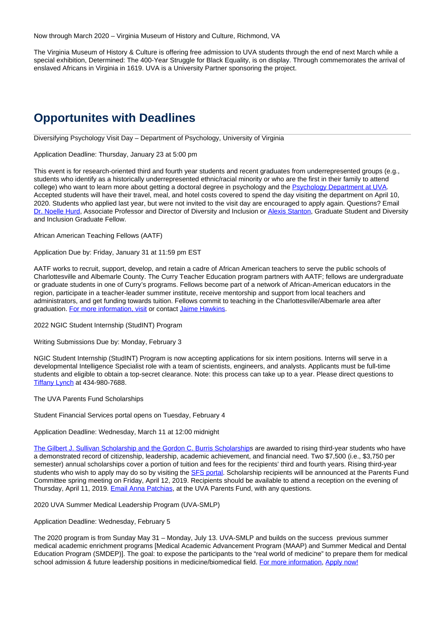Now through March 2020 – Virginia Museum of History and Culture, Richmond, VA

The Virginia Museum of History & Culture is offering free admission to UVA students through the end of next March while a special exhibition, Determined: The 400-Year Struggle for Black Equality, is on display. Through commemorates the arrival of enslaved Africans in Virginia in 1619. UVA is a University Partner sponsoring the project.

### **Opportunites with Deadlines**

Diversifying Psychology Visit Day – Department of Psychology, University of Virginia

Application Deadline: Thursday, January 23 at 5:00 pm

This event is for research-oriented third and fourth year students and recent graduates from underrepresented groups (e.g., students who identify as a historically underrepresented ethnic/racial minority or who are the first in their family to attend college) who want to learn more about getting a doctoral degree in psychology and the Psychology Department at UVA. Accepted students will have their travel, meal, and hotel costs covered to spend the day visiting the department on April 10, 2020. Students who applied last year, but were not invited to the visit day are encouraged to apply again. Questions? Email Dr. Noelle Hurd, Associate Professor and Director of Diversity and Inclusion or Alexis Stanton, Graduate Student and Diversity and Inclusion Graduate Fellow.

African American Teaching Fellows (AATF)

Application Due by: Friday, January 31 at 11:59 pm EST

AATF works to recruit, support, develop, and retain a cadre of African American teachers to serve the public schools of Charlottesville and Albemarle County. The Curry Teacher Education program partners with AATF; fellows are undergraduate or graduate students in one of Curry's programs. Fellows become part of a network of African-American educators in the region, participate in a teacher-leader summer institute, receive mentorship and support from local teachers and administrators, and get funding towards tuition. Fellows commit to teaching in the Charlottesville/Albemarle area after graduation. For more information, visit or contact Jaime Hawkins.

2022 NGIC Student Internship (StudINT) Program

Writing Submissions Due by: Monday, February 3

NGIC Student Internship (StudINT) Program is now accepting applications for six intern positions. Interns will serve in a developmental Intelligence Specialist role with a team of scientists, engineers, and analysts. Applicants must be full-time students and eligible to obtain a top-secret clearance. Note: this process can take up to a year. Please direct questions to Tiffany Lynch at 434-980-7688.

The UVA Parents Fund Scholarships

Student Financial Services portal opens on Tuesday, February 4

Application Deadline: Wednesday, March 11 at 12:00 midnight

The Gilbert J. Sullivan Scholarship and the Gordon C. Burris Scholarships are awarded to rising third-year students who have a demonstrated record of citizenship, leadership, academic achievement, and financial need. Two \$7,500 (i.e., \$3,750 per semester) annual scholarships cover a portion of tuition and fees for the recipients' third and fourth years. Rising third-year students who wish to apply may do so by visiting the SFS portal. Scholarship recipients will be announced at the Parents Fund Committee spring meeting on Friday, April 12, 2019. Recipients should be available to attend a reception on the evening of Thursday, April 11, 2019. Email Anna Patchias, at the UVA Parents Fund, with any questions.

2020 UVA Summer Medical Leadership Program (UVA-SMLP)

#### Application Deadline: Wednesday, February 5

The 2020 program is from Sunday May 31 – Monday, July 13. UVA-SMLP and builds on the success previous summer medical academic enrichment programs [Medical Academic Advancement Program (MAAP) and Summer Medical and Dental Education Program (SMDEP)]. The goal: to expose the participants to the "real world of medicine" to prepare them for medical school admission & future leadership positions in medicine/biomedical field. For more information, Apply now!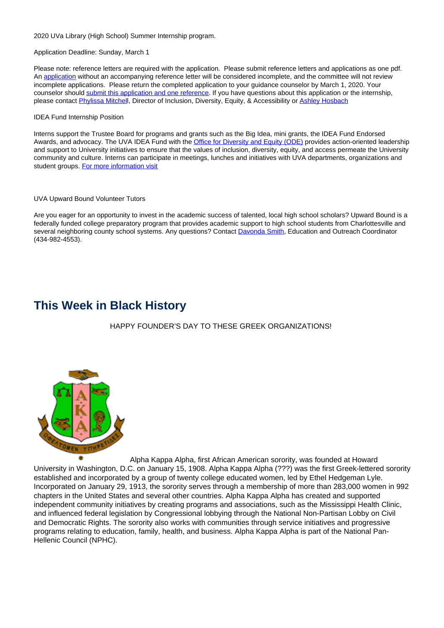2020 UVa Library (High School) Summer Internship program.

Application Deadline: Sunday, March 1

Please note: reference letters are required with the application. Please submit reference letters and applications as one pdf. An application without an accompanying reference letter will be considered incomplete, and the committee will not review incomplete applications. Please return the completed application to your guidance counselor by March 1, 2020. Your counselor should submit this application and one reference. If you have questions about this application or the internship, please contact **Phylissa Mitchell**, Director of Inclusion, Diversity, Equity, & Accessibility or **Ashley Hosbach** 

#### IDEA Fund Internship Position

Interns support the Trustee Board for programs and grants such as the Big Idea, mini grants, the IDEA Fund Endorsed Awards, and advocacy. The UVA IDEA Fund with the **Office for Diversity and Equity (ODE)** provides action-oriented leadership and support to University initiatives to ensure that the values of inclusion, diversity, equity, and access permeate the University community and culture. Interns can participate in meetings, lunches and initiatives with UVA departments, organizations and student groups. For more information visit

#### UVA Upward Bound Volunteer Tutors

Are you eager for an opportunity to invest in the academic success of talented, local high school scholars? Upward Bound is a federally funded college preparatory program that provides academic support to high school students from Charlottesville and several neighboring county school systems. Any questions? Contact Davonda Smith, Education and Outreach Coordinator (434-982-4553).

### **This Week in Black History**

HAPPY FOUNDER'S DAY TO THESE GREEK ORGANIZATIONS!



Alpha Kappa Alpha, first African American sorority, was founded at Howard University in Washington, D.C. on January 15, 1908. Alpha Kappa Alpha (???) was the first Greek-lettered sorority established and incorporated by a group of twenty college educated women, led by Ethel Hedgeman Lyle. Incorporated on January 29, 1913, the sorority serves through a membership of more than 283,000 women in 992 chapters in the United States and several other countries. Alpha Kappa Alpha has created and supported independent community initiatives by creating programs and associations, such as the Mississippi Health Clinic, and influenced federal legislation by Congressional lobbying through the National Non-Partisan Lobby on Civil and Democratic Rights. The sorority also works with communities through service initiatives and progressive programs relating to education, family, health, and business. Alpha Kappa Alpha is part of the National Pan-Hellenic Council (NPHC).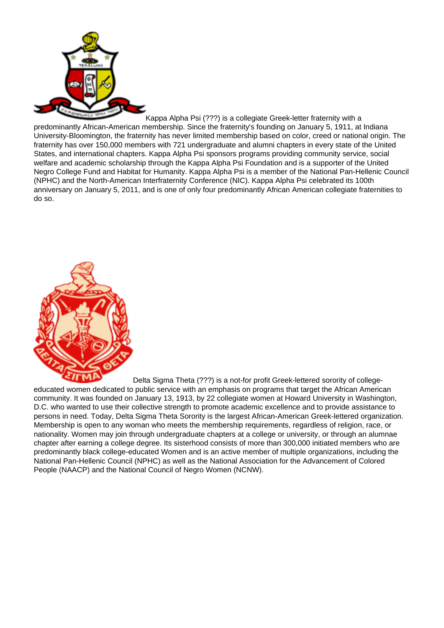

#### Kappa Alpha Psi (???) is a collegiate Greek-letter fraternity with a

predominantly African-American membership. Since the fraternity's founding on January 5, 1911, at Indiana University-Bloomington, the fraternity has never limited membership based on color, creed or national origin. The fraternity has over 150,000 members with 721 undergraduate and alumni chapters in every state of the United States, and international chapters. Kappa Alpha Psi sponsors programs providing community service, social welfare and academic scholarship through the Kappa Alpha Psi Foundation and is a supporter of the United Negro College Fund and Habitat for Humanity. Kappa Alpha Psi is a member of the National Pan-Hellenic Council (NPHC) and the North-American Interfraternity Conference (NIC). Kappa Alpha Psi celebrated its 100th anniversary on January 5, 2011, and is one of only four predominantly African American collegiate fraternities to do so.



Delta Sigma Theta (???) is a not-for profit Greek-lettered sorority of collegeeducated women dedicated to public service with an emphasis on programs that target the African American community. It was founded on January 13, 1913, by 22 collegiate women at Howard University in Washington, D.C. who wanted to use their collective strength to promote academic excellence and to provide assistance to persons in need. Today, Delta Sigma Theta Sorority is the largest African-American Greek-lettered organization. Membership is open to any woman who meets the membership requirements, regardless of religion, race, or nationality. Women may join through undergraduate chapters at a college or university, or through an alumnae chapter after earning a college degree. Its sisterhood consists of more than 300,000 initiated members who are predominantly black college-educated Women and is an active member of multiple organizations, including the National Pan-Hellenic Council (NPHC) as well as the National Association for the Advancement of Colored People (NAACP) and the National Council of Negro Women (NCNW).